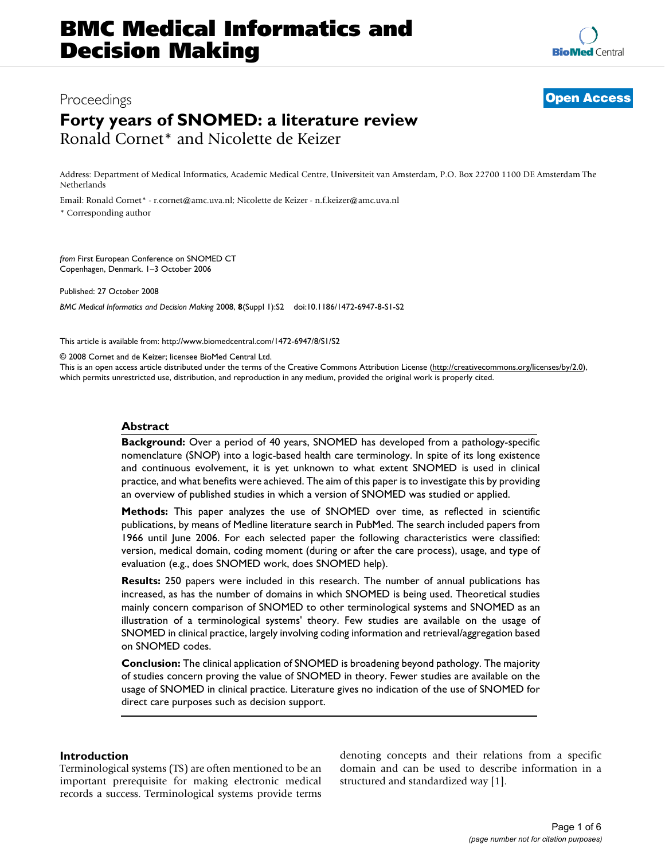# Proceedings **[Open Access](http://www.biomedcentral.com/info/about/charter/)**

# **Forty years of SNOMED: a literature review** Ronald Cornet\* and Nicolette de Keizer

Address: Department of Medical Informatics, Academic Medical Centre, Universiteit van Amsterdam, P.O. Box 22700 1100 DE Amsterdam The Netherlands

Email: Ronald Cornet\* - r.cornet@amc.uva.nl; Nicolette de Keizer - n.f.keizer@amc.uva.nl

\* Corresponding author

*from* First European Conference on SNOMED CT Copenhagen, Denmark. 1–3 October 2006

Published: 27 October 2008

*BMC Medical Informatics and Decision Making* 2008, **8**(Suppl 1):S2 doi:10.1186/1472-6947-8-S1-S2

[This article is available from: http://www.biomedcentral.com/1472-6947/8/S1/S2](http://www.biomedcentral.com/1472-6947/8/S1/S2)

© 2008 Cornet and de Keizer; licensee BioMed Central Ltd.

This is an open access article distributed under the terms of the Creative Commons Attribution License [\(http://creativecommons.org/licenses/by/2.0\)](http://creativecommons.org/licenses/by/2.0), which permits unrestricted use, distribution, and reproduction in any medium, provided the original work is properly cited.

# **Abstract**

**Background:** Over a period of 40 years, SNOMED has developed from a pathology-specific nomenclature (SNOP) into a logic-based health care terminology. In spite of its long existence and continuous evolvement, it is yet unknown to what extent SNOMED is used in clinical practice, and what benefits were achieved. The aim of this paper is to investigate this by providing an overview of published studies in which a version of SNOMED was studied or applied.

**Methods:** This paper analyzes the use of SNOMED over time, as reflected in scientific publications, by means of Medline literature search in PubMed. The search included papers from 1966 until June 2006. For each selected paper the following characteristics were classified: version, medical domain, coding moment (during or after the care process), usage, and type of evaluation (e.g., does SNOMED work, does SNOMED help).

**Results:** 250 papers were included in this research. The number of annual publications has increased, as has the number of domains in which SNOMED is being used. Theoretical studies mainly concern comparison of SNOMED to other terminological systems and SNOMED as an illustration of a terminological systems' theory. Few studies are available on the usage of SNOMED in clinical practice, largely involving coding information and retrieval/aggregation based on SNOMED codes.

**Conclusion:** The clinical application of SNOMED is broadening beyond pathology. The majority of studies concern proving the value of SNOMED in theory. Fewer studies are available on the usage of SNOMED in clinical practice. Literature gives no indication of the use of SNOMED for direct care purposes such as decision support.

#### **Introduction**

Terminological systems (TS) are often mentioned to be an important prerequisite for making electronic medical records a success. Terminological systems provide terms denoting concepts and their relations from a specific domain and can be used to describe information in a structured and standardized way [1].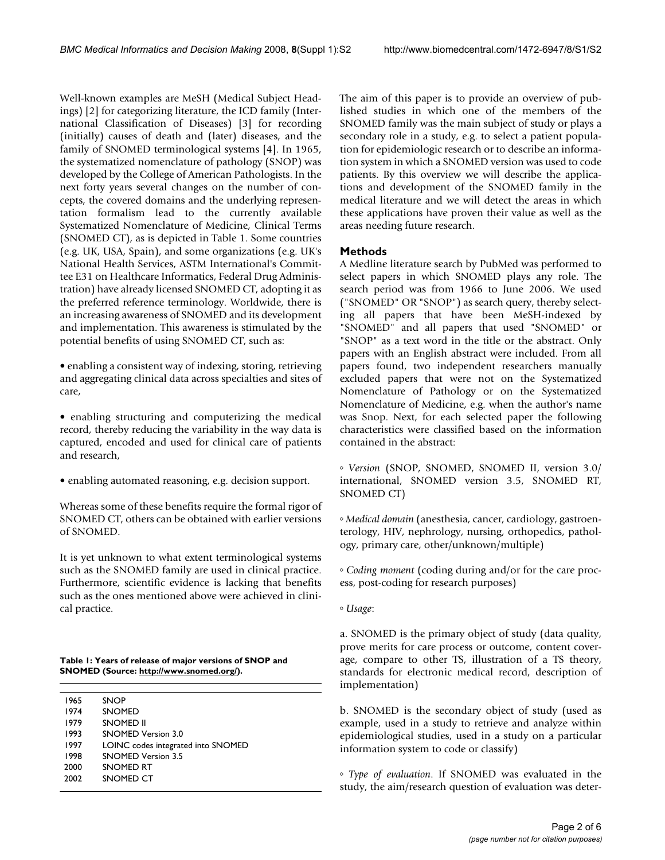Well-known examples are MeSH (Medical Subject Headings) [2] for categorizing literature, the ICD family (International Classification of Diseases) [3] for recording (initially) causes of death and (later) diseases, and the family of SNOMED terminological systems [4]. In 1965, the systematized nomenclature of pathology (SNOP) was developed by the College of American Pathologists. In the next forty years several changes on the number of concepts, the covered domains and the underlying representation formalism lead to the currently available Systematized Nomenclature of Medicine, Clinical Terms (SNOMED CT), as is depicted in Table 1. Some countries (e.g. UK, USA, Spain), and some organizations (e.g. UK's National Health Services, ASTM International's Committee E31 on Healthcare Informatics, Federal Drug Administration) have already licensed SNOMED CT, adopting it as the preferred reference terminology. Worldwide, there is an increasing awareness of SNOMED and its development and implementation. This awareness is stimulated by the potential benefits of using SNOMED CT, such as:

• enabling a consistent way of indexing, storing, retrieving and aggregating clinical data across specialties and sites of care,

• enabling structuring and computerizing the medical record, thereby reducing the variability in the way data is captured, encoded and used for clinical care of patients and research,

• enabling automated reasoning, e.g. decision support.

Whereas some of these benefits require the formal rigor of SNOMED CT, others can be obtained with earlier versions of SNOMED.

It is yet unknown to what extent terminological systems such as the SNOMED family are used in clinical practice. Furthermore, scientific evidence is lacking that benefits such as the ones mentioned above were achieved in clinical practice.

**Table 1: Years of release of major versions of SNOP and SNOMED (Source:<http://www.snomed.org/>).**

| 1965 | <b>SNOP</b>                        |
|------|------------------------------------|
| 1974 | <b>SNOMED</b>                      |
| 1979 | SNOMED II                          |
| 1993 | SNOMED Version 3.0                 |
| 1997 | LOINC codes integrated into SNOMED |
| 1998 | <b>SNOMED Version 3.5</b>          |
| 2000 | SNOMED RT                          |
| 2002 | SNOMED CT                          |
|      |                                    |

The aim of this paper is to provide an overview of published studies in which one of the members of the SNOMED family was the main subject of study or plays a secondary role in a study, e.g. to select a patient population for epidemiologic research or to describe an information system in which a SNOMED version was used to code patients. By this overview we will describe the applications and development of the SNOMED family in the medical literature and we will detect the areas in which these applications have proven their value as well as the areas needing future research.

# **Methods**

A Medline literature search by PubMed was performed to select papers in which SNOMED plays any role. The search period was from 1966 to June 2006. We used ("SNOMED" OR "SNOP") as search query, thereby selecting all papers that have been MeSH-indexed by "SNOMED" and all papers that used "SNOMED" or "SNOP" as a text word in the title or the abstract. Only papers with an English abstract were included. From all papers found, two independent researchers manually excluded papers that were not on the Systematized Nomenclature of Pathology or on the Systematized Nomenclature of Medicine, e.g. when the author's name was Snop. Next, for each selected paper the following characteristics were classified based on the information contained in the abstract:

- *Version* (SNOP, SNOMED, SNOMED II, version 3.0/ international, SNOMED version 3.5, SNOMED RT, SNOMED CT)

- *Medical domain* (anesthesia, cancer, cardiology, gastroenterology, HIV, nephrology, nursing, orthopedics, pathology, primary care, other/unknown/multiple)

- *Coding moment* (coding during and/or for the care process, post-coding for research purposes)

- *Usage*:

a. SNOMED is the primary object of study (data quality, prove merits for care process or outcome, content coverage, compare to other TS, illustration of a TS theory, standards for electronic medical record, description of implementation)

b. SNOMED is the secondary object of study (used as example, used in a study to retrieve and analyze within epidemiological studies, used in a study on a particular information system to code or classify)

- *Type of evaluation*. If SNOMED was evaluated in the study, the aim/research question of evaluation was deter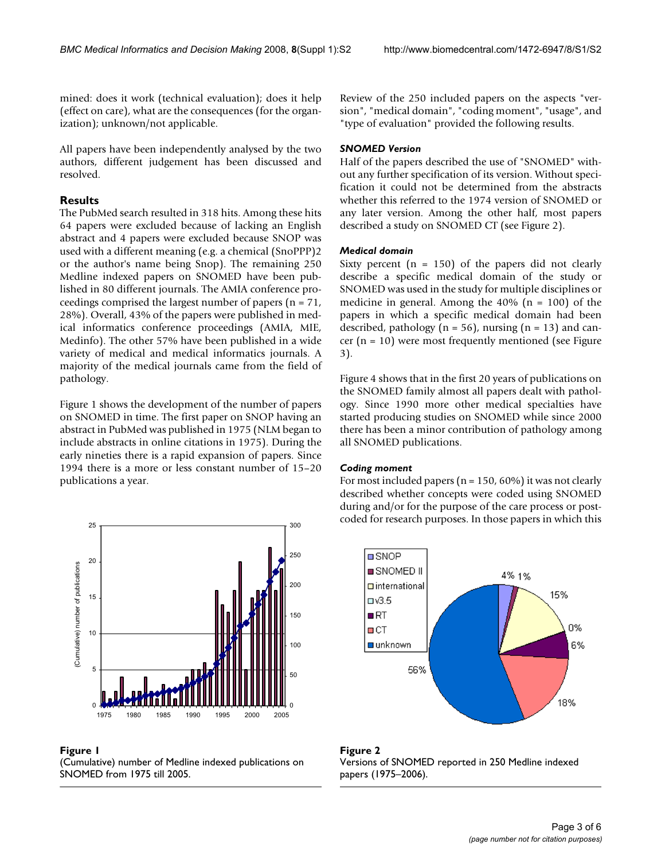mined: does it work (technical evaluation); does it help (effect on care), what are the consequences (for the organization); unknown/not applicable.

All papers have been independently analysed by the two authors, different judgement has been discussed and resolved.

### **Results**

The PubMed search resulted in 318 hits. Among these hits 64 papers were excluded because of lacking an English abstract and 4 papers were excluded because SNOP was used with a different meaning (e.g. a chemical (SnoPPP)2 or the author's name being Snop). The remaining 250 Medline indexed papers on SNOMED have been published in 80 different journals. The AMIA conference proceedings comprised the largest number of papers (n = 71, 28%). Overall, 43% of the papers were published in medical informatics conference proceedings (AMIA, MIE, Medinfo). The other 57% have been published in a wide variety of medical and medical informatics journals. A majority of the medical journals came from the field of pathology.

Figure 1 shows the development of the number of papers on SNOMED in time. The first paper on SNOP having an abstract in PubMed was published in 1975 (NLM began to include abstracts in online citations in 1975). During the early nineties there is a rapid expansion of papers. Since 1994 there is a more or less constant number of 15–20 publications a year.



#### Figure 1

(Cumulative) number of Medline indexed publications on SNOMED from 1975 till 2005.

Review of the 250 included papers on the aspects "version", "medical domain", "coding moment", "usage", and "type of evaluation" provided the following results.

# *SNOMED Version*

Half of the papers described the use of "SNOMED" without any further specification of its version. Without specification it could not be determined from the abstracts whether this referred to the 1974 version of SNOMED or any later version. Among the other half, most papers described a study on SNOMED CT (see Figure 2).

#### *Medical domain*

Sixty percent ( $n = 150$ ) of the papers did not clearly describe a specific medical domain of the study or SNOMED was used in the study for multiple disciplines or medicine in general. Among the  $40\%$  (n = 100) of the papers in which a specific medical domain had been described, pathology ( $n = 56$ ), nursing ( $n = 13$ ) and cancer  $(n = 10)$  were most frequently mentioned (see Figure 3).

Figure 4 shows that in the first 20 years of publications on the SNOMED family almost all papers dealt with pathology. Since 1990 more other medical specialties have started producing studies on SNOMED while since 2000 there has been a minor contribution of pathology among all SNOMED publications.

#### *Coding moment*

For most included papers ( $n = 150$ , 60%) it was not clearly described whether concepts were coded using SNOMED during and/or for the purpose of the care process or postcoded for research purposes. In those papers in which this



Figure 2 Versions of SNOMED reported in 250 Medline indexed papers (1975–2006).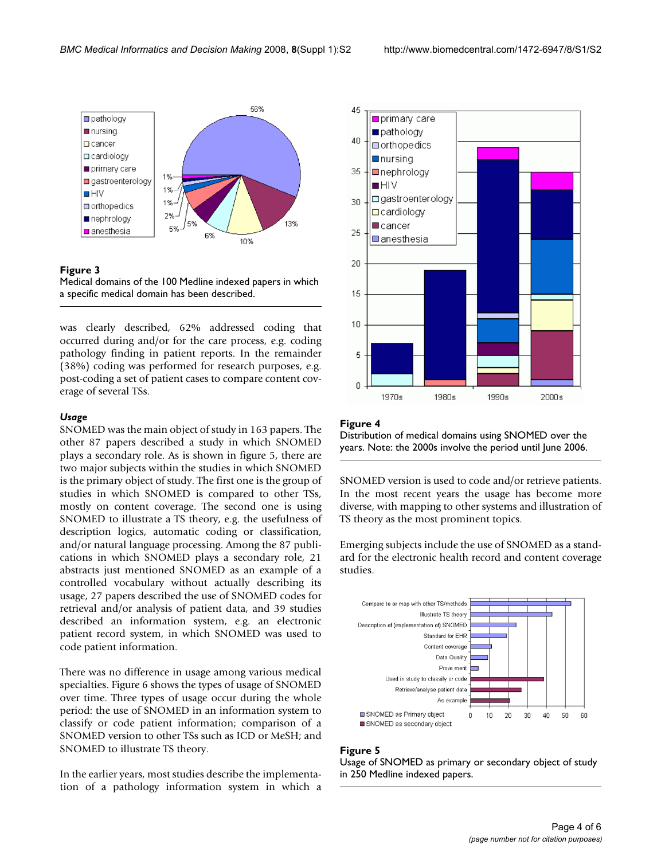

#### **Figure 3**



was clearly described, 62% addressed coding that occurred during and/or for the care process, e.g. coding pathology finding in patient reports. In the remainder (38%) coding was performed for research purposes, e.g. post-coding a set of patient cases to compare content coverage of several TSs.

# *Usage*

SNOMED was the main object of study in 163 papers. The other 87 papers described a study in which SNOMED plays a secondary role. As is shown in figure 5, there are two major subjects within the studies in which SNOMED is the primary object of study. The first one is the group of studies in which SNOMED is compared to other TSs, mostly on content coverage. The second one is using SNOMED to illustrate a TS theory, e.g. the usefulness of description logics, automatic coding or classification, and/or natural language processing. Among the 87 publications in which SNOMED plays a secondary role, 21 abstracts just mentioned SNOMED as an example of a controlled vocabulary without actually describing its usage, 27 papers described the use of SNOMED codes for retrieval and/or analysis of patient data, and 39 studies described an information system, e.g. an electronic patient record system, in which SNOMED was used to code patient information.

There was no difference in usage among various medical specialties. Figure 6 shows the types of usage of SNOMED over time. Three types of usage occur during the whole period: the use of SNOMED in an information system to classify or code patient information; comparison of a SNOMED version to other TSs such as ICD or MeSH; and SNOMED to illustrate TS theory.

In the earlier years, most studies describe the implementation of a pathology information system in which a



### **Figure 4**

Distribution of medical domains using SNOMED over the years. Note: the 2000s involve the period until June 2006.

SNOMED version is used to code and/or retrieve patients. In the most recent years the usage has become more diverse, with mapping to other systems and illustration of TS theory as the most prominent topics.

Emerging subjects include the use of SNOMED as a standard for the electronic health record and content coverage studies.



# Figure 5

Usage of SNOMED as primary or secondary object of study in 250 Medline indexed papers.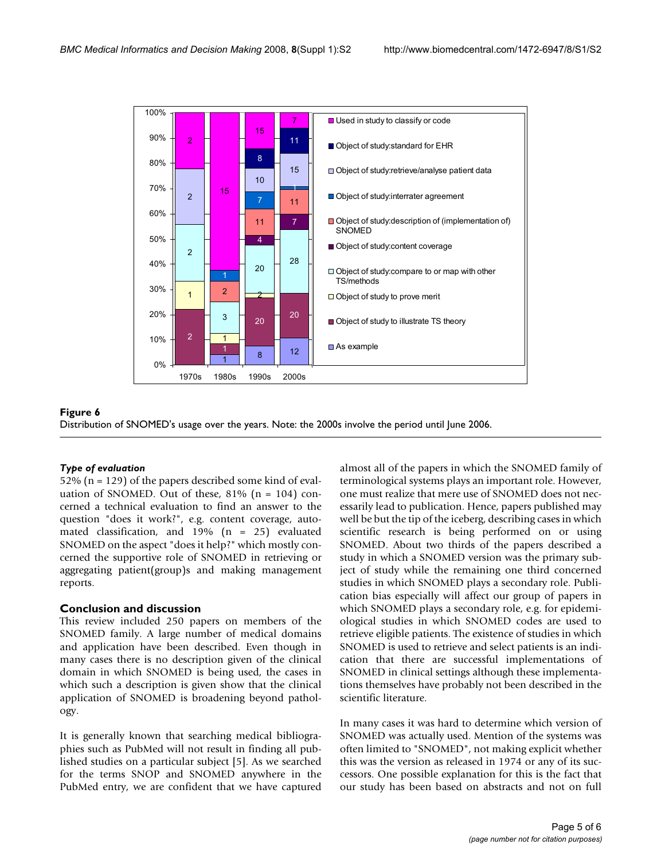

# Figure 6

Distribution of SNOMED's usage over the years. Note: the 2000s involve the period until June 2006.

#### *Type of evaluation*

52% (n = 129) of the papers described some kind of evaluation of SNOMED. Out of these,  $81\%$  (n = 104) concerned a technical evaluation to find an answer to the question "does it work?", e.g. content coverage, automated classification, and 19% (n = 25) evaluated SNOMED on the aspect "does it help?" which mostly concerned the supportive role of SNOMED in retrieving or aggregating patient(group)s and making management reports.

# **Conclusion and discussion**

This review included 250 papers on members of the SNOMED family. A large number of medical domains and application have been described. Even though in many cases there is no description given of the clinical domain in which SNOMED is being used, the cases in which such a description is given show that the clinical application of SNOMED is broadening beyond pathology.

It is generally known that searching medical bibliographies such as PubMed will not result in finding all published studies on a particular subject [5]. As we searched for the terms SNOP and SNOMED anywhere in the PubMed entry, we are confident that we have captured almost all of the papers in which the SNOMED family of terminological systems plays an important role. However, one must realize that mere use of SNOMED does not necessarily lead to publication. Hence, papers published may well be but the tip of the iceberg, describing cases in which scientific research is being performed on or using SNOMED. About two thirds of the papers described a study in which a SNOMED version was the primary subject of study while the remaining one third concerned studies in which SNOMED plays a secondary role. Publication bias especially will affect our group of papers in which SNOMED plays a secondary role, e.g. for epidemiological studies in which SNOMED codes are used to retrieve eligible patients. The existence of studies in which SNOMED is used to retrieve and select patients is an indication that there are successful implementations of SNOMED in clinical settings although these implementations themselves have probably not been described in the scientific literature.

In many cases it was hard to determine which version of SNOMED was actually used. Mention of the systems was often limited to "SNOMED", not making explicit whether this was the version as released in 1974 or any of its successors. One possible explanation for this is the fact that our study has been based on abstracts and not on full